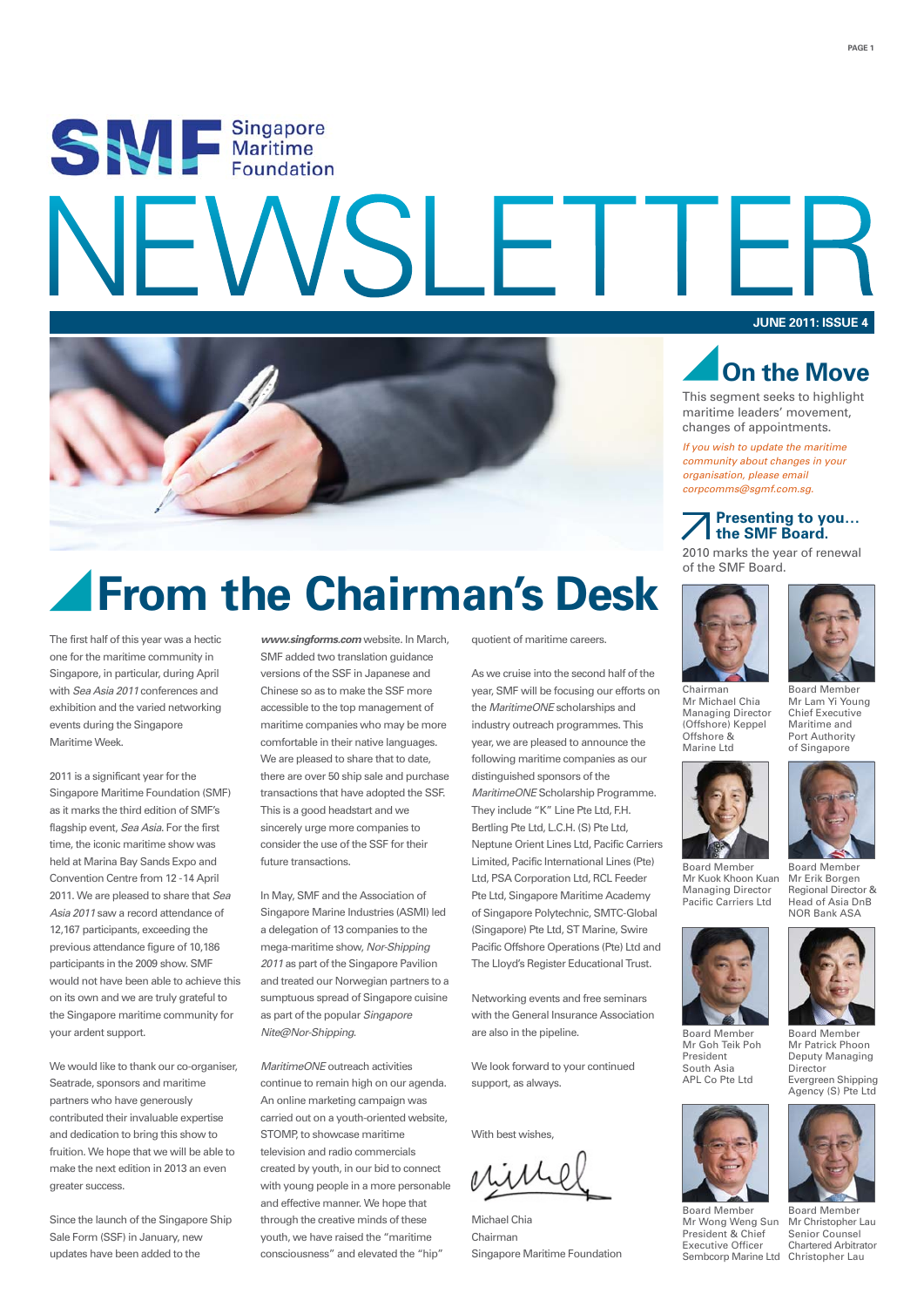# SWE Singapore  $\ddot{\phantom{1}}$ **JUNE 2011: ISSUE 4**



## **From the Chairman's Desk**

The first half of this year was a hectic one for the maritime community in Singapore, in particular, during April with *Sea Asia 2011* conferences and exhibition and the varied networking events during the Singapore Maritime Week.

2011 is a significant year for the Singapore Maritime Foundation (SMF) as it marks the third edition of SMF's flagship event, *Sea Asia*. For the first time, the iconic maritime show was held at Marina Bay Sands Expo and Convention Centre from 12 - 14 April 2011. We are pleased to share that *Sea Asia 2011* saw a record attendance of 12,167 participants, exceeding the previous attendance figure of 10,186 participants in the 2009 show. SMF would not have been able to achieve this on its own and we are truly grateful to the Singapore maritime community for your ardent support.

We would like to thank our co-organiser, Seatrade, sponsors and maritime partners who have generously contributed their invaluable expertise and dedication to bring this show to fruition. We hope that we will be able to make the next edition in 2013 an even greater success.

Since the launch of the Singapore Ship Sale Form (SSF) in January, new updates have been added to the

*www.singforms.com* website. In March, SMF added two translation guidance versions of the SSF in Japanese and Chinese so as to make the SSF more accessible to the top management of maritime companies who may be more comfortable in their native languages. We are pleased to share that to date. there are over 50 ship sale and purchase transactions that have adopted the SSF. This is a good headstart and we sincerely urge more companies to consider the use of the SSF for their future transactions.

In May, SMF and the Association of Singapore Marine Industries (ASMI) led a delegation of 13 companies to the mega-maritime show, *Nor-Shipping 2011* as part of the Singapore Pavilion and treated our Norwegian partners to a sumptuous spread of Singapore cuisine as part of the popular *Singapore Nite@Nor-Shipping*.

*MaritimeONE* outreach activities continue to remain high on our agenda. An online marketing campaign was carried out on a youth-oriented website, STOMP to showcase maritime television and radio commercials created by youth, in our bid to connect with young people in a more personable and effective manner. We hope that through the creative minds of these youth, we have raised the "maritime consciousness" and elevated the "hip"

quotient of maritime careers.

As we cruise into the second half of the year, SMF will be focusing our efforts on the *MaritimeONE* scholarships and industry outreach programmes. This year, we are pleased to announce the following maritime companies as our distinguished sponsors of the *MaritimeONE* Scholarship Programme. They include "K" Line Pte Ltd, F.H. Bertling Pte Ltd, L.C.H. (S) Pte Ltd, Neptune Orient Lines Ltd, Pacific Carriers Limited, Pacific International Lines (Pte) Ltd, PSA Corporation Ltd, RCL Feeder Pte Ltd, Singapore Maritime Academy of Singapore Polytechnic, SMTC-Global (Singapore) Pte Ltd, ST Marine, Swire Pacific Offshore Operations (Pte) Ltd and The Lloyd's Register Educational Trust.

Networking events and free seminars with the General Insurance Association are also in the pipeline.

We look forward to your continued support, as always.

With heet wishes

Michael Chia Chairman Singapore Maritime Foundation



**PAGE 1**

This segment seeks to highlight maritime leaders' movement, changes of appointments.

*If you wish to update the maritime community about changes in your organisation, please email corpcomms@sgmf.com.sg.*

#### **Presenting to you… the SMF Board.**

2010 marks the year of renewal of the SMF Board.





Mr Lam Yi Young Chief Executive Maritime and Port Authority of Singapore

Chairman Mr Michael Chia Managing Director (Offshore) Keppel Offshore & Marine Ltd



Mr Goh Teik Poh President South Asia APL Co Pte Ltd

Board Member Mr Wong Weng Sun President & Chief Executive Officer

Mr Kuok Khoon Kuan Managing Director Pacific Carriers Ltd Board Member Mr Erik Borgen Regional Director & Head of Asia DnB NOR Bank ASA



Board Member Mr Patrick Phoon Deputy Managing Director Evergreen Shipping Agency (S) Pte Ltd

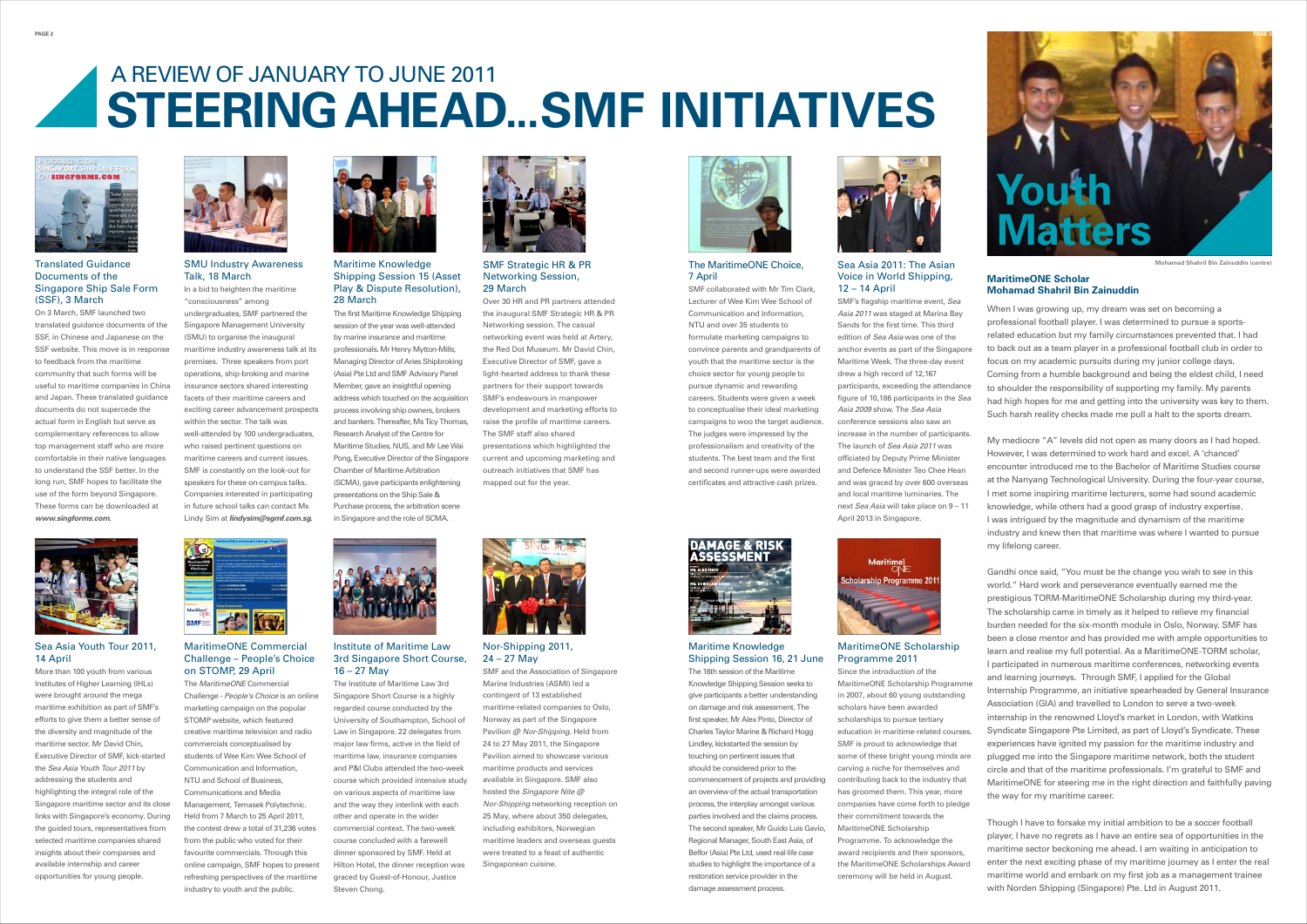"consciousness" among undergraduates, SMF partnered the Singapore Management University (SMU) to organise the inaugural maritime industry awareness talk at its premises. Three speakers from port operations, ship-broking and marine insurance sectors shared interesting facets of their maritime careers and exciting career advancement prospects within the sector. The talk was well-attended by 100 undergraduates. who raised pertinent questions on maritime careers and current issues. SMF is constantly on the look-out for speakers for these on-campus talks. Companies interested in participating in future school talks can contact Ms Lindy Sim at *lindysim@sgmf.com.sg*.





In a bid to heighten the maritime SMU Industry Awareness Talk, 18 March

On 3 March, SMF launched two translated guidance documents of the SSF, in Chinese and Japanese on the SSE website. This move is in response to feedback from the maritime community that such forms will be useful to maritime companies in China and Japan. These translated guidance documents do not supercede the actual form in English but serve as complementary references to allow top management staff who are more comfortable in their native languages to understand the SSF better. In the long run, SMF hopes to facilitate the use of the form beyond Singapore. These forms can be downloaded at *www.singforms.com*.



(SSF), 3 March **SMP**'s maritime event, *Sea* **28 March** 28 March **Sea and PR** partners attended Lecturer of Wee Kim Wee School of SMF's flagship maritime event, *Sea* SMF collaborated with Mr Tim Clark,  $12 - 14$  April Lecturer of Wee Kim Wee School of Communication and Information, NTU and over 35 students to formulate marketing campaigns to convince parents and grandparents of youth that the maritime sector is the choice sector for young people to pursue dynamic and rewarding careers. Students were given a week to conceptualise their ideal marketing campaigns to woo the target audience. The judges were impressed by the professionalism and creativity of the students. The best team and the first and second runner-ups were awarded certificates and attractive cash prizes.



#### Translated Guidance Documents of the Singapore Ship Sale Form

## **STEERING AHEAD... SMF INITIATIVES** A REVIEW OF JANUARY TO JUNE 2011



*Asia 2011* was staged at Marina Bay Sande for the first time. This third edition of *Sea Asia* was one of the anchor events as part of the Singapore Maritime Week. The three-day event drew a high record of 12,167 participants, exceeding the attendance figure of 10,186 participants in the *Sea Asia 2009* show. The *Sea Asia* conference sessions also saw an increase in the number of participants. The launch of *Sea Asia 2011* was officiated by Deputy Prime Minister and Defence Minister Teo Chee Hean and was graced by over 600 overseas and local maritime luminaries. The next *Sea Asia* will take place on 9 – 11 April 2013 in Singapore.



#### Sea Asia 2011: The Asian Voice in World Shipping,



The MaritimeONE Choice, 7 April

The 16th session of the Maritime Knowledge Shipping Session seeks to give participants a better understanding on damage and risk assessment. The first speaker, Mr Alex Pinto, Director of Charles Taylor Marine & Richard Hogg Lindley, kickstarted the session by touching on pertinent issues that should be considered prior to the commencement of projects and providing an overview of the actual transportation process, the interplay amongst various parties involved and the claims process. The second speaker, Mr Guido Luis Gavio, Regional Manager, South East Asia, of Belfor (Asia) Pte Ltd, used real-life case studies to highlight the importance of a restoration service provider in the damage assessment process.



#### Maritime Knowledge Shipping Session 16, 21 June

#### MaritimeONE Scholarship Programme 2011

Since the introduction of the MaritimeONE Scholarship Programme in 2007, about 60 young outstanding scholars have been awarded scholarships to pursue tertiary education in maritime-related courses. SMF is proud to acknowledge that some of these bright young minds are carving a niche for themselves and contributing back to the industry that has groomed them. This year, more companies have come forth to pledge their commitment towards the MaritimeONE Scholarship Programme. To acknowledge the award recipients and their sponsors, the MaritimeONE Scholarships Award ceremony will be held in August.

the inaugural SMF Strategic HR & PR Networking session. The casual networking event was held at Artery, the Red Dot Museum. Mr David Chin, Executive Director of SMF, gave a light-hearted address to thank these partners for their support towards SMF's endeavours in manpower development and marketing efforts to raise the profile of maritime careers. The SMF staff also shared presentations which highlighted the current and upcoming marketing and outreach initiatives that SMF has mapped out for the year.

SMF Strategic HR & PR Networking Session,

29 March

#### MaritimeONE Commercial Challenge – People's Choice on STOMP, 29 April 16 - 27 May SMF and the Association of Singapore

More than 100 youth from various Institutes of Higher Learning (IHLs) were brought around the mega maritime exhibition as part of SMF's efforts to give them a better sense of the diversity and magnitude of the maritime sector. Mr David Chin, Executive Director of SMF, kick-started the *Sea Asia Youth Tour 2011* by addressing the students and highlighting the integral role of the Singapore maritime sector and its close links with Singapore's economy. During the guided tours, representatives from selected maritime companies shared insights about their companies and available internship and career opportunities for young people.

#### Sea Asia Youth Tour 2011, 14 April

The Institute of Maritime Law 3rd Singapore Short Course is a highly regarded course conducted by the University of Southampton, School of Law in Singapore. 22 delegates from major law firms, active in the field of maritime law, insurance companies and P&I Clubs attended the two-week course which provided intensive study on various aspects of maritime law and the way they interlink with each other and operate in the wider commercial context. The two-week course concluded with a farewell dinner sponsored by SMF. Held at Hilton Hotel, the dinner reception was graced by Guest-of-Honour, Justice Steven Chong.



#### Institute of Maritime Law 3rd Singapore Short Course, 16 – 27 May

When I was growing up, my dream was set on becoming a professional football player. I was determined to pursue a sportsrelated education but my family circumstances prevented that. I had to back out as a team player in a professional football club in order to focus on my academic pursuits during my junior college days. Coming from a humble background and being the eldest child, I need to shoulder the responsibility of supporting my family. My parents had high hopes for me and getting into the university was key to them. Such harsh reality checks made me pull a halt to the sports dream.

My mediocre "A" levels did not open as many doors as I had hoped. However, I was determined to work hard and excel. A 'chanced' encounter introduced me to the Bachelor of Maritime Studies course at the Nanyang Technological University. During the four-year course, I met some inspiring maritime lecturers, some had sound academic knowledge, while others had a good grasp of industry expertise. I was intrigued by the magnitude and dynamism of the maritime industry and knew then that maritime was where I wanted to pursue my lifelong career.

Gandhi once said, "You must be the change you wish to see in this world." Hard work and perseverance eventually earned me the prestigious TORM-MaritimeONE Scholarship during my third-year. The scholarship came in timely as it helped to relieve my financial burden needed for the six-month module in Oslo, Norway. SMF has been a close mentor and has provided me with ample opportunities to learn and realise my full potential. As a MaritimeONE-TORM scholar, I participated in numerous maritime conferences, networking events and learning journeys. Through SMF, I applied for the Global Internship Programme, an initiative spearheaded by General Insurance Association (GIA) and travelled to London to serve a two-week internship in the renowned Lloyd's market in London, with Watkins Syndicate Singapore Pte Limited, as part of Lloyd's Syndicate. These experiences have ignited my passion for the maritime industry and plugged me into the Singapore maritime network, both the student circle and that of the maritime professionals. I'm grateful to SMF and MaritimeONE for steering me in the right direction and faithfully paving the way for my maritime career.



**Mohamad Shahril Bin Zainuddin (centre)**

Though I have to forsake my initial ambition to be a soccer football player, I have no regrets as I have an entire sea of opportunities in the maritime sector beckoning me ahead. I am waiting in anticipation to enter the next exciting phase of my maritime journey as I enter the real maritime world and embark on my first job as a management trainee with Norden Shipping (Singapore) Pte. Ltd in August 2011.

#### **MaritimeONE Scholar Mohamad Shahril Bin Zainuddin**

The first Maritime Knowledge Shipping session of the year was well-attended by marine insurance and maritime professionals. Mr Henry Mytton-Mills, Managing Director of Aries Shipbroking (Asia) Pte Ltd and SMF Advisory Panel Member, gave an insightful opening address which touched on the acquisition process involving ship owners, brokers and bankers. Thereafter, Ms Ticy Thomas, Research Analyst of the Centre for Maritime Studies, NUS, and Mr Lee Wai Pong, Executive Director of the Singapore Chamber of Maritime Arbitration (SCMA), gave participants enlightening presentations on the Ship Sale & Purchase process, the arbitration scene in Singapore and the role of SCMA.





Maritime Knowledge Shipping Session 15 (Asset Play & Dispute Resolution), 28 March

The *MaritimeONE* Commercial Challenge - *People's Choice* is an online marketing campaign on the popular STOMP website, which featured creative maritime television and radio commercials conceptualised by students of Wee Kim Wee School of Communication and Information, NTU and School of Business, Communications and Media Management, Temasek Polytechnic. Held from 7 March to 25 April 2011, the contest drew a total of 31,236 votes from the public who voted for their favourite commercials. Through this online campaign, SMF hopes to present refreshing perspectives of the maritime industry to youth and the public.

Marine Industries (ASMI) led a contingent of 13 established maritime-related companies to Oslo, Norway as part of the Singapore Pavilion *@ Nor-Shipping*. Held from 24 to 27 May 2011, the Singapore Pavilion aimed to showcase various maritime products and services available in Singapore. SMF also hosted the *Singapore Nite @ Nor-Shipping* networking reception on 25 May, where about 350 delegates, including exhibitors, Norwegian maritime leaders and overseas guests were treated to a feast of authentic Singaporean cuisine.

Nor-Shipping 2011, 24 – 27 May